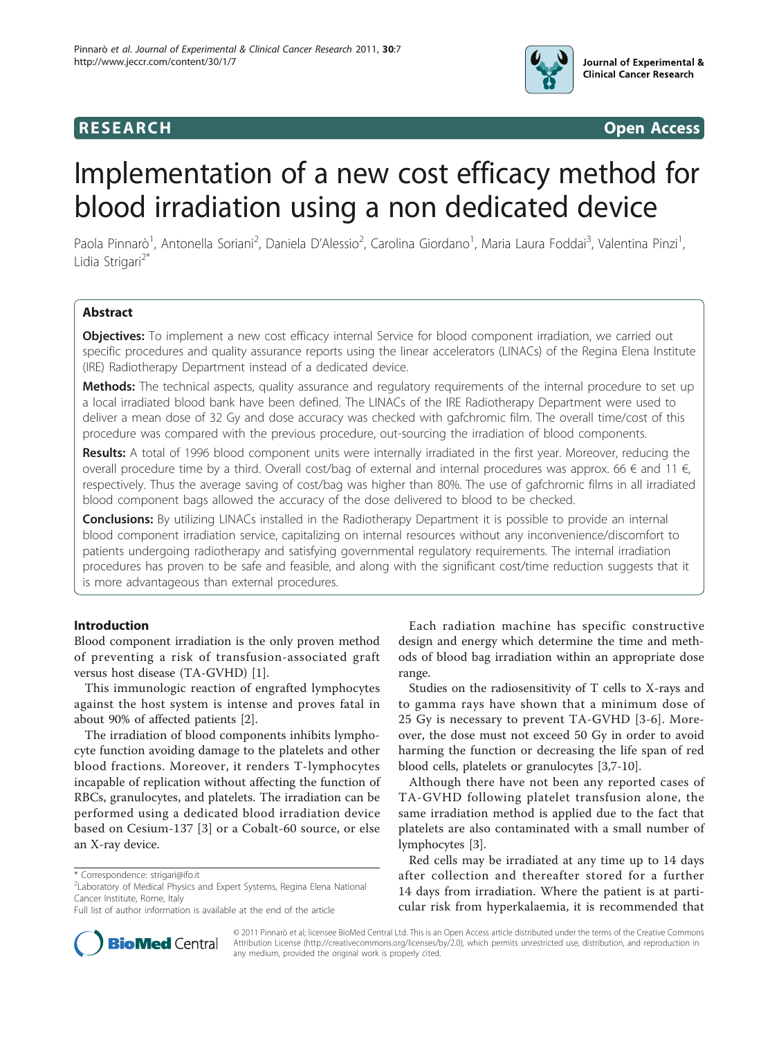

**RESEARCH CONTROL** CONTROL CONTROL CONTROL CONTROL CONTROL CONTROL CONTROL CONTROL CONTROL CONTROL CONTROL CONTROL CONTROL CONTROL CONTROL CONTROL CONTROL CONTROL CONTROL CONTROL CONTROL CONTROL CONTROL CONTROL CONTROL CON

# Implementation of a new cost efficacy method for blood irradiation using a non dedicated device

Paola Pinnarò<sup>1</sup>, Antonella Soriani<sup>2</sup>, Daniela D'Alessio<sup>2</sup>, Carolina Giordano<sup>1</sup>, Maria Laura Foddai<sup>3</sup>, Valentina Pinzi<sup>1</sup> , Lidia Strigari<sup>2\*</sup>

# Abstract

Objectives: To implement a new cost efficacy internal Service for blood component irradiation, we carried out specific procedures and quality assurance reports using the linear accelerators (LINACs) of the Regina Elena Institute (IRE) Radiotherapy Department instead of a dedicated device.

Methods: The technical aspects, quality assurance and requiatory requirements of the internal procedure to set up a local irradiated blood bank have been defined. The LINACs of the IRE Radiotherapy Department were used to deliver a mean dose of 32 Gy and dose accuracy was checked with gafchromic film. The overall time/cost of this procedure was compared with the previous procedure, out-sourcing the irradiation of blood components.

Results: A total of 1996 blood component units were internally irradiated in the first year. Moreover, reducing the overall procedure time by a third. Overall cost/bag of external and internal procedures was approx. 66  $\epsilon$  and 11  $\epsilon$ , respectively. Thus the average saving of cost/bag was higher than 80%. The use of gafchromic films in all irradiated blood component bags allowed the accuracy of the dose delivered to blood to be checked.

**Conclusions:** By utilizing LINACs installed in the Radiotherapy Department it is possible to provide an internal blood component irradiation service, capitalizing on internal resources without any inconvenience/discomfort to patients undergoing radiotherapy and satisfying governmental regulatory requirements. The internal irradiation procedures has proven to be safe and feasible, and along with the significant cost/time reduction suggests that it is more advantageous than external procedures.

# Introduction

Blood component irradiation is the only proven method of preventing a risk of transfusion-associated graft versus host disease (TA-GVHD) [[1\]](#page-5-0).

This immunologic reaction of engrafted lymphocytes against the host system is intense and proves fatal in about 90% of affected patients [\[2\]](#page-5-0).

The irradiation of blood components inhibits lymphocyte function avoiding damage to the platelets and other blood fractions. Moreover, it renders T-lymphocytes incapable of replication without affecting the function of RBCs, granulocytes, and platelets. The irradiation can be performed using a dedicated blood irradiation device based on Cesium-137 [\[3](#page-5-0)] or a Cobalt-60 source, or else an X-ray device.

Each radiation machine has specific constructive design and energy which determine the time and methods of blood bag irradiation within an appropriate dose range.

Studies on the radiosensitivity of T cells to X-rays and to gamma rays have shown that a minimum dose of 25 Gy is necessary to prevent TA-GVHD [[3](#page-5-0)-[6\]](#page-5-0). Moreover, the dose must not exceed 50 Gy in order to avoid harming the function or decreasing the life span of red blood cells, platelets or granulocytes [\[3,7-10](#page-5-0)].

Although there have not been any reported cases of TA-GVHD following platelet transfusion alone, the same irradiation method is applied due to the fact that platelets are also contaminated with a small number of lymphocytes [[3\]](#page-5-0).

Red cells may be irradiated at any time up to 14 days after collection and thereafter stored for a further 14 days from irradiation. Where the patient is at particular risk from hyperkalaemia, it is recommended that



© 2011 Pinnarò et al; licensee BioMed Central Ltd. This is an Open Access article distributed under the terms of the Creative Commons Attribution License [\(http://creativecommons.org/licenses/by/2.0](http://creativecommons.org/licenses/by/2.0)), which permits unrestricted use, distribution, and reproduction in any medium, provided the original work is properly cited.

<sup>\*</sup> Correspondence: [strigari@ifo.it](mailto:strigari@ifo.it)

<sup>&</sup>lt;sup>2</sup> Laboratory of Medical Physics and Expert Systems, Regina Elena National Cancer Institute, Rome, Italy

Full list of author information is available at the end of the article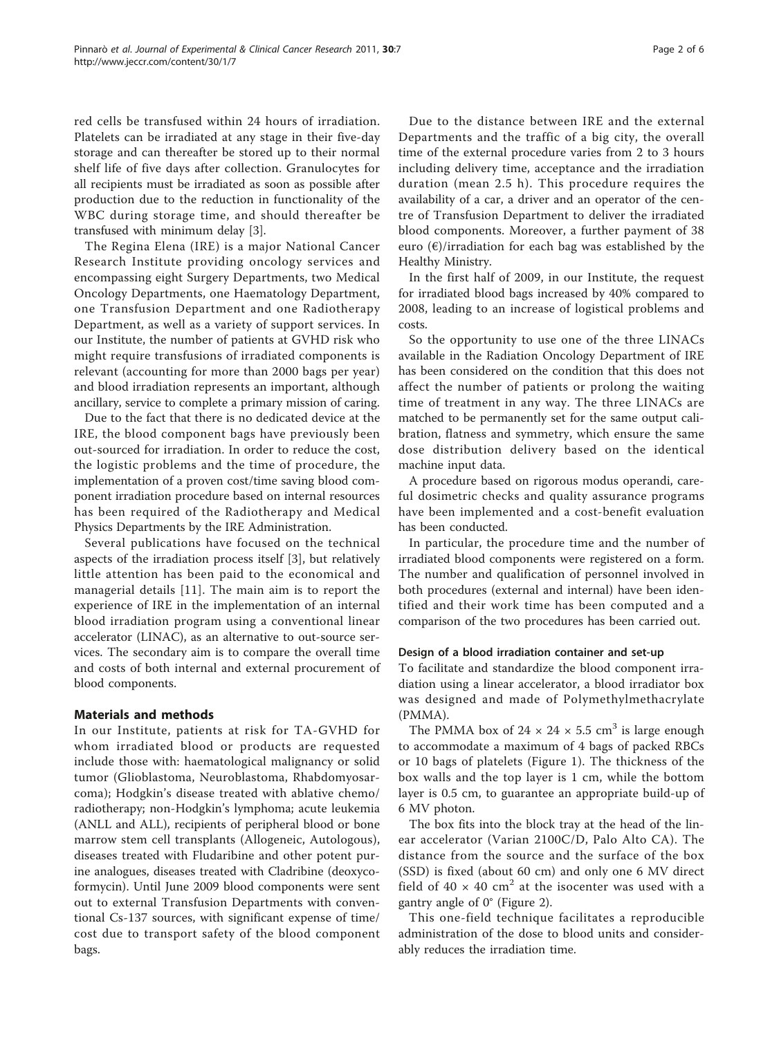red cells be transfused within 24 hours of irradiation. Platelets can be irradiated at any stage in their five-day storage and can thereafter be stored up to their normal shelf life of five days after collection. Granulocytes for all recipients must be irradiated as soon as possible after production due to the reduction in functionality of the WBC during storage time, and should thereafter be transfused with minimum delay [\[3](#page-5-0)].

The Regina Elena (IRE) is a major National Cancer Research Institute providing oncology services and encompassing eight Surgery Departments, two Medical Oncology Departments, one Haematology Department, one Transfusion Department and one Radiotherapy Department, as well as a variety of support services. In our Institute, the number of patients at GVHD risk who might require transfusions of irradiated components is relevant (accounting for more than 2000 bags per year) and blood irradiation represents an important, although ancillary, service to complete a primary mission of caring.

Due to the fact that there is no dedicated device at the IRE, the blood component bags have previously been out-sourced for irradiation. In order to reduce the cost, the logistic problems and the time of procedure, the implementation of a proven cost/time saving blood component irradiation procedure based on internal resources has been required of the Radiotherapy and Medical Physics Departments by the IRE Administration.

Several publications have focused on the technical aspects of the irradiation process itself [\[3](#page-5-0)], but relatively little attention has been paid to the economical and managerial details [[11](#page-5-0)]. The main aim is to report the experience of IRE in the implementation of an internal blood irradiation program using a conventional linear accelerator (LINAC), as an alternative to out-source services. The secondary aim is to compare the overall time and costs of both internal and external procurement of blood components.

# Materials and methods

In our Institute, patients at risk for TA-GVHD for whom irradiated blood or products are requested include those with: haematological malignancy or solid tumor (Glioblastoma, Neuroblastoma, Rhabdomyosarcoma); Hodgkin's disease treated with ablative chemo/ radiotherapy; non-Hodgkin's lymphoma; acute leukemia (ANLL and ALL), recipients of peripheral blood or bone marrow stem cell transplants (Allogeneic, Autologous), diseases treated with Fludaribine and other potent purine analogues, diseases treated with Cladribine (deoxycoformycin). Until June 2009 blood components were sent out to external Transfusion Departments with conventional Cs-137 sources, with significant expense of time/ cost due to transport safety of the blood component bags.

Due to the distance between IRE and the external Departments and the traffic of a big city, the overall time of the external procedure varies from 2 to 3 hours including delivery time, acceptance and the irradiation duration (mean 2.5 h). This procedure requires the availability of a car, a driver and an operator of the centre of Transfusion Department to deliver the irradiated blood components. Moreover, a further payment of 38 euro  $(\epsilon)$ /irradiation for each bag was established by the Healthy Ministry.

In the first half of 2009, in our Institute, the request for irradiated blood bags increased by 40% compared to 2008, leading to an increase of logistical problems and costs.

So the opportunity to use one of the three LINACs available in the Radiation Oncology Department of IRE has been considered on the condition that this does not affect the number of patients or prolong the waiting time of treatment in any way. The three LINACs are matched to be permanently set for the same output calibration, flatness and symmetry, which ensure the same dose distribution delivery based on the identical machine input data.

A procedure based on rigorous modus operandi, careful dosimetric checks and quality assurance programs have been implemented and a cost-benefit evaluation has been conducted.

In particular, the procedure time and the number of irradiated blood components were registered on a form. The number and qualification of personnel involved in both procedures (external and internal) have been identified and their work time has been computed and a comparison of the two procedures has been carried out.

#### Design of a blood irradiation container and set-up

To facilitate and standardize the blood component irradiation using a linear accelerator, a blood irradiator box was designed and made of Polymethylmethacrylate (PMMA).

The PMMA box of  $24 \times 24 \times 5.5$  cm<sup>3</sup> is large enough to accommodate a maximum of 4 bags of packed RBCs or 10 bags of platelets (Figure [1\)](#page-2-0). The thickness of the box walls and the top layer is 1 cm, while the bottom layer is 0.5 cm, to guarantee an appropriate build-up of 6 MV photon.

The box fits into the block tray at the head of the linear accelerator (Varian 2100C/D, Palo Alto CA). The distance from the source and the surface of the box (SSD) is fixed (about 60 cm) and only one 6 MV direct field of  $40 \times 40$  cm<sup>2</sup> at the isocenter was used with a gantry angle of 0° (Figure [2](#page-2-0)).

This one-field technique facilitates a reproducible administration of the dose to blood units and considerably reduces the irradiation time.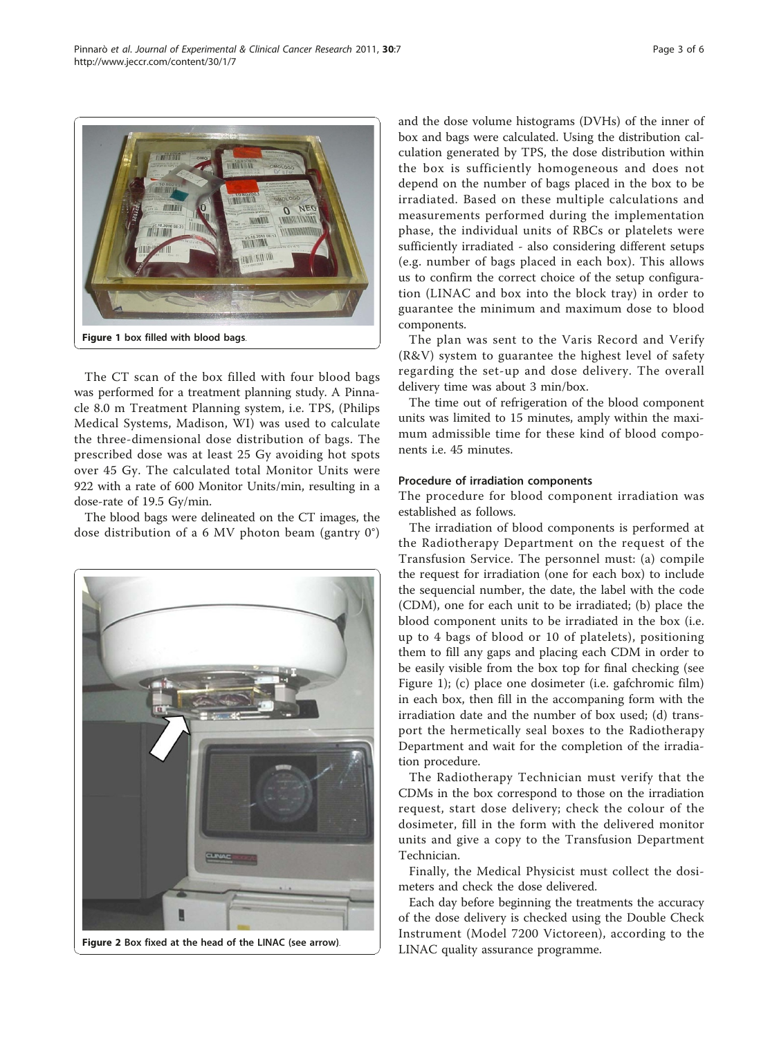<span id="page-2-0"></span>

The CT scan of the box filled with four blood bags was performed for a treatment planning study. A Pinnacle 8.0 m Treatment Planning system, i.e. TPS, (Philips Medical Systems, Madison, WI) was used to calculate the three-dimensional dose distribution of bags. The prescribed dose was at least 25 Gy avoiding hot spots over 45 Gy. The calculated total Monitor Units were 922 with a rate of 600 Monitor Units/min, resulting in a dose-rate of 19.5 Gy/min.

The blood bags were delineated on the CT images, the dose distribution of a 6 MV photon beam (gantry 0°)



and the dose volume histograms (DVHs) of the inner of box and bags were calculated. Using the distribution calculation generated by TPS, the dose distribution within the box is sufficiently homogeneous and does not depend on the number of bags placed in the box to be irradiated. Based on these multiple calculations and measurements performed during the implementation phase, the individual units of RBCs or platelets were sufficiently irradiated - also considering different setups (e.g. number of bags placed in each box). This allows us to confirm the correct choice of the setup configuration (LINAC and box into the block tray) in order to guarantee the minimum and maximum dose to blood components.

The plan was sent to the Varis Record and Verify (R&V) system to guarantee the highest level of safety regarding the set-up and dose delivery. The overall delivery time was about 3 min/box.

The time out of refrigeration of the blood component units was limited to 15 minutes, amply within the maximum admissible time for these kind of blood components i.e. 45 minutes.

#### Procedure of irradiation components

The procedure for blood component irradiation was established as follows.

The irradiation of blood components is performed at the Radiotherapy Department on the request of the Transfusion Service. The personnel must: (a) compile the request for irradiation (one for each box) to include the sequencial number, the date, the label with the code (CDM), one for each unit to be irradiated; (b) place the blood component units to be irradiated in the box (i.e. up to 4 bags of blood or 10 of platelets), positioning them to fill any gaps and placing each CDM in order to be easily visible from the box top for final checking (see Figure 1); (c) place one dosimeter (i.e. gafchromic film) in each box, then fill in the accompaning form with the irradiation date and the number of box used; (d) transport the hermetically seal boxes to the Radiotherapy Department and wait for the completion of the irradiation procedure.

The Radiotherapy Technician must verify that the CDMs in the box correspond to those on the irradiation request, start dose delivery; check the colour of the dosimeter, fill in the form with the delivered monitor units and give a copy to the Transfusion Department Technician.

Finally, the Medical Physicist must collect the dosimeters and check the dose delivered.

Each day before beginning the treatments the accuracy of the dose delivery is checked using the Double Check Instrument (Model 7200 Victoreen), according to the LINAC quality assurance programme.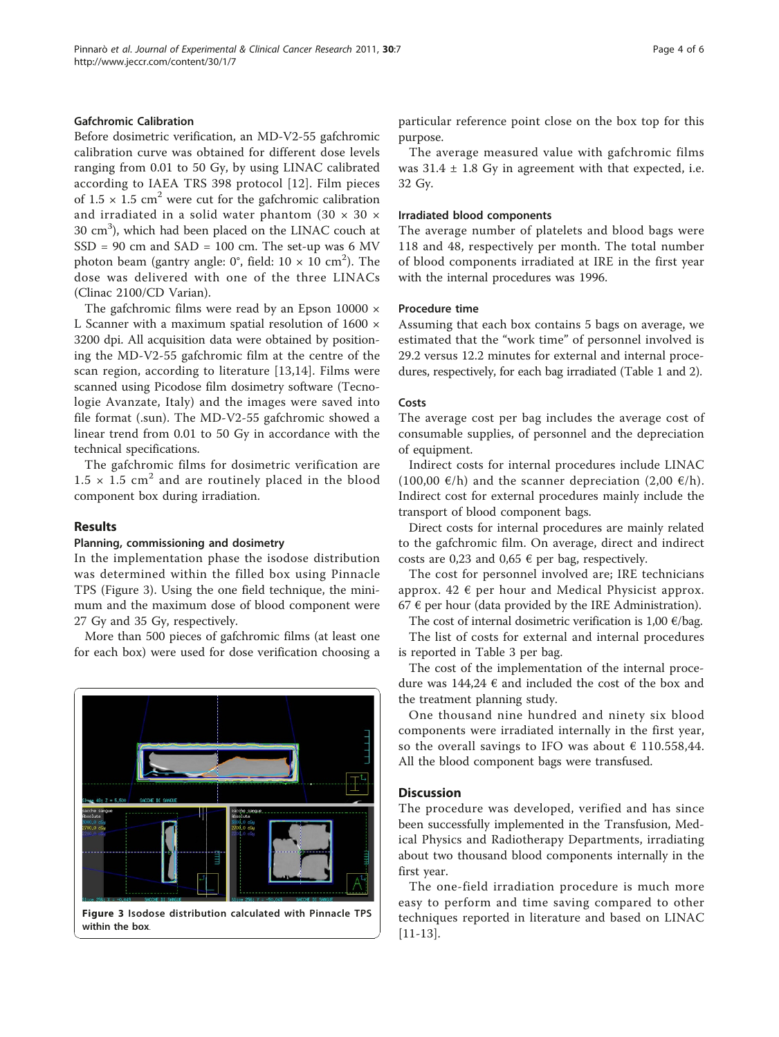# Gafchromic Calibration

Before dosimetric verification, an MD-V2-55 gafchromic calibration curve was obtained for different dose levels ranging from 0.01 to 50 Gy, by using LINAC calibrated according to IAEA TRS 398 protocol [[12](#page-5-0)]. Film pieces of  $1.5 \times 1.5$  cm<sup>2</sup> were cut for the gafchromic calibration and irradiated in a solid water phantom (30  $\times$  30  $\times$  $30 \text{ cm}^3$ ), which had been placed on the LINAC couch at  $SSD = 90$  cm and  $SAD = 100$  cm. The set-up was 6 MV photon beam (gantry angle: 0°, field: 10  $\times$  10 cm $^2$ ). The dose was delivered with one of the three LINACs (Clinac 2100/CD Varian).

The gafchromic films were read by an Epson 10000  $\times$ L Scanner with a maximum spatial resolution of 1600 × 3200 dpi. All acquisition data were obtained by positioning the MD-V2-55 gafchromic film at the centre of the scan region, according to literature [[13,14\]](#page-5-0). Films were scanned using Picodose film dosimetry software (Tecnologie Avanzate, Italy) and the images were saved into file format (.sun). The MD-V2-55 gafchromic showed a linear trend from 0.01 to 50 Gy in accordance with the technical specifications.

The gafchromic films for dosimetric verification are  $1.5 \times 1.5$  cm<sup>2</sup> and are routinely placed in the blood component box during irradiation.

# Results

#### Planning, commissioning and dosimetry

In the implementation phase the isodose distribution was determined within the filled box using Pinnacle TPS (Figure 3). Using the one field technique, the minimum and the maximum dose of blood component were 27 Gy and 35 Gy, respectively.

More than 500 pieces of gafchromic films (at least one for each box) were used for dose verification choosing a



Figure 3 Isodose distribution calculated with Pinnacle TPS within the box.

particular reference point close on the box top for this purpose.

The average measured value with gafchromic films was  $31.4 \pm 1.8$  Gy in agreement with that expected, i.e. 32 Gy.

#### Irradiated blood components

The average number of platelets and blood bags were 118 and 48, respectively per month. The total number of blood components irradiated at IRE in the first year with the internal procedures was 1996.

#### Procedure time

Assuming that each box contains 5 bags on average, we estimated that the "work time" of personnel involved is 29.2 versus 12.2 minutes for external and internal procedures, respectively, for each bag irradiated (Table [1](#page-4-0) and [2](#page-4-0)).

### Costs

The average cost per bag includes the average cost of consumable supplies, of personnel and the depreciation of equipment.

Indirect costs for internal procedures include LINAC (100,00  $\varepsilon$ /h) and the scanner depreciation (2,00  $\varepsilon$ /h). Indirect cost for external procedures mainly include the transport of blood component bags.

Direct costs for internal procedures are mainly related to the gafchromic film. On average, direct and indirect costs are 0,23 and 0,65  $\epsilon$  per bag, respectively.

The cost for personnel involved are; IRE technicians approx.  $42 \notin$  per hour and Medical Physicist approx. 67  $\epsilon$  per hour (data provided by the IRE Administration).

The cost of internal dosimetric verification is 1,00  $\epsilon$ /bag.

The list of costs for external and internal procedures is reported in Table [3](#page-5-0) per bag.

The cost of the implementation of the internal procedure was  $144,24 \text{ } \in$  and included the cost of the box and the treatment planning study.

One thousand nine hundred and ninety six blood components were irradiated internally in the first year, so the overall savings to IFO was about  $\epsilon$  110.558,44. All the blood component bags were transfused.

#### **Discussion**

The procedure was developed, verified and has since been successfully implemented in the Transfusion, Medical Physics and Radiotherapy Departments, irradiating about two thousand blood components internally in the first year.

The one-field irradiation procedure is much more easy to perform and time saving compared to other techniques reported in literature and based on LINAC [[11-13\]](#page-5-0).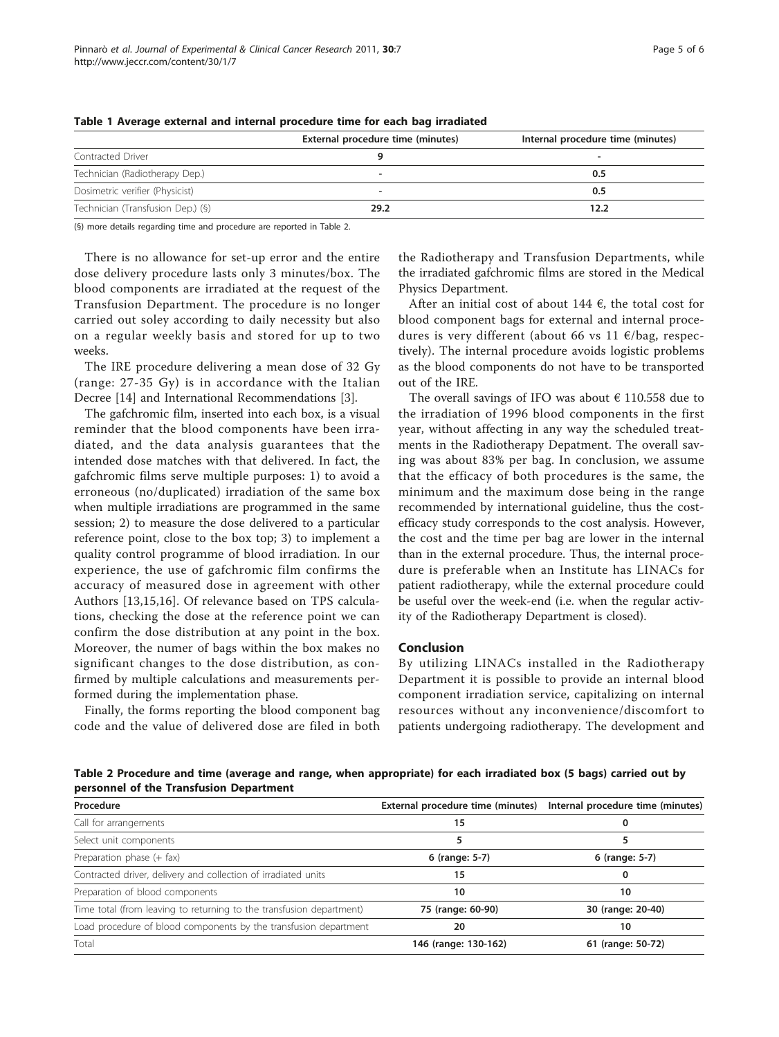|                                   | External procedure time (minutes) | Internal procedure time (minutes) |
|-----------------------------------|-----------------------------------|-----------------------------------|
| Contracted Driver                 |                                   |                                   |
| Technician (Radiotherapy Dep.)    | $\overline{\phantom{a}}$          | 0.5                               |
| Dosimetric verifier (Physicist)   | -                                 | 0.5                               |
| Technician (Transfusion Dep.) (§) | 29.2                              | 12.2                              |

<span id="page-4-0"></span>Table 1 Average external and internal procedure time for each bag irradiated

(§) more details regarding time and procedure are reported in Table 2.

There is no allowance for set-up error and the entire dose delivery procedure lasts only 3 minutes/box. The blood components are irradiated at the request of the Transfusion Department. The procedure is no longer carried out soley according to daily necessity but also on a regular weekly basis and stored for up to two weeks.

The IRE procedure delivering a mean dose of 32 Gy (range: 27-35 Gy) is in accordance with the Italian Decree [\[14](#page-5-0)] and International Recommendations [\[3](#page-5-0)].

The gafchromic film, inserted into each box, is a visual reminder that the blood components have been irradiated, and the data analysis guarantees that the intended dose matches with that delivered. In fact, the gafchromic films serve multiple purposes: 1) to avoid a erroneous (no/duplicated) irradiation of the same box when multiple irradiations are programmed in the same session; 2) to measure the dose delivered to a particular reference point, close to the box top; 3) to implement a quality control programme of blood irradiation. In our experience, the use of gafchromic film confirms the accuracy of measured dose in agreement with other Authors [\[13,15](#page-5-0),[16\]](#page-5-0). Of relevance based on TPS calculations, checking the dose at the reference point we can confirm the dose distribution at any point in the box. Moreover, the numer of bags within the box makes no significant changes to the dose distribution, as confirmed by multiple calculations and measurements performed during the implementation phase.

Finally, the forms reporting the blood component bag code and the value of delivered dose are filed in both the Radiotherapy and Transfusion Departments, while the irradiated gafchromic films are stored in the Medical Physics Department.

After an initial cost of about 144  $\epsilon$ , the total cost for blood component bags for external and internal procedures is very different (about 66 vs 11 €/bag, respectively). The internal procedure avoids logistic problems as the blood components do not have to be transported out of the IRE.

The overall savings of IFO was about  $\epsilon$  110.558 due to the irradiation of 1996 blood components in the first year, without affecting in any way the scheduled treatments in the Radiotherapy Depatment. The overall saving was about 83% per bag. In conclusion, we assume that the efficacy of both procedures is the same, the minimum and the maximum dose being in the range recommended by international guideline, thus the costefficacy study corresponds to the cost analysis. However, the cost and the time per bag are lower in the internal than in the external procedure. Thus, the internal procedure is preferable when an Institute has LINACs for patient radiotherapy, while the external procedure could be useful over the week-end (i.e. when the regular activity of the Radiotherapy Department is closed).

# Conclusion

By utilizing LINACs installed in the Radiotherapy Department it is possible to provide an internal blood component irradiation service, capitalizing on internal resources without any inconvenience/discomfort to patients undergoing radiotherapy. The development and

Table 2 Procedure and time (average and range, when appropriate) for each irradiated box (5 bags) carried out by personnel of the Transfusion Department

| Procedure                                                            | External procedure time (minutes) | Internal procedure time (minutes) |
|----------------------------------------------------------------------|-----------------------------------|-----------------------------------|
| Call for arrangements                                                | 15                                |                                   |
| Select unit components                                               |                                   |                                   |
| Preparation phase (+ fax)                                            | 6 (range: 5-7)                    | 6 (range: 5-7)                    |
| Contracted driver, delivery and collection of irradiated units       | 15                                | 0                                 |
| Preparation of blood components                                      | 10                                | 10                                |
| Time total (from leaving to returning to the transfusion department) | 75 (range: 60-90)                 | 30 (range: 20-40)                 |
| Load procedure of blood components by the transfusion department     | 20                                | 10                                |
| Total                                                                | 146 (range: 130-162)              | 61 (range: 50-72)                 |